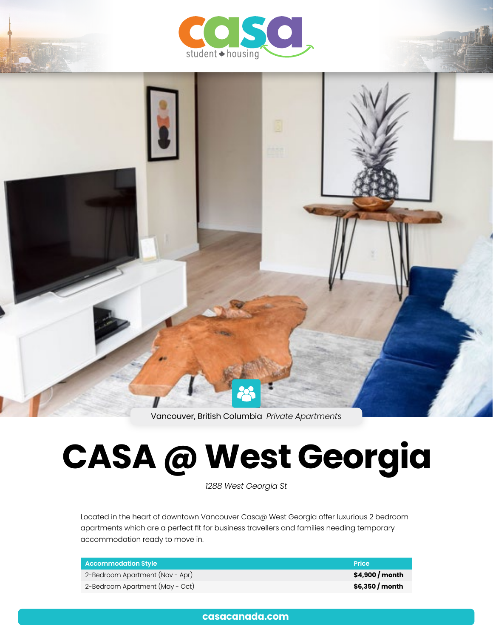



Vancouver, British Columbia *Private Apartments*

# **CASA @ West Georgia**

*1288 West Georgia St*

Located in the heart of downtown Vancouver Casa@ West Georgia offer luxurious 2 bedroom apartments which are a perfect fit for business travellers and families needing temporary accommodation ready to move in.

| <b>Accommodation Style</b>      | <b>Price</b>     |
|---------------------------------|------------------|
| 2-Bedroom Apartment (Nov - Apr) | $$4,900/m$ onth  |
| 2-Bedroom Apartment (May - Oct) | $$6,350$ / month |

**[casacanada.com](https://casacanada.com/)**